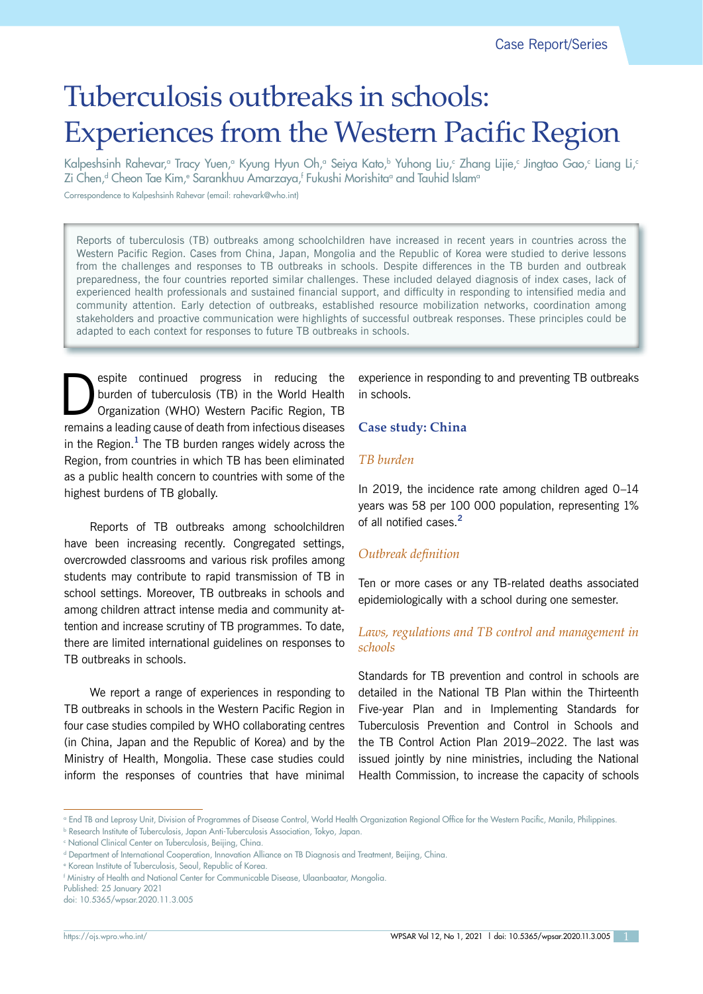Case Report/Series

# Tuberculosis outbreaks in schools: Experiences from the Western Pacific Region

Kalpeshsinh Rahevar,ª Tracy Yuen,ª Kyung Hyun Oh,ª Seiya Kato,♭ Yuhong Liu,º Zhang Lijie,º Jingtao Gao,º Liang Li,º Zi Chen,<sup>d</sup> Cheon Tae Kim,° Sarankhuu Amarzaya,† Fukushi Morishitaª and Tauhid Islam°

Correspondence to Kalpeshsinh Rahevar (email: rahevark@who.int)

Reports of tuberculosis (TB) outbreaks among schoolchildren have increased in recent years in countries across the Western Pacific Region. Cases from China, Japan, Mongolia and the Republic of Korea were studied to derive lessons from the challenges and responses to TB outbreaks in schools. Despite differences in the TB burden and outbreak preparedness, the four countries reported similar challenges. These included delayed diagnosis of index cases, lack of experienced health professionals and sustained financial support, and difficulty in responding to intensified media and community attention. Early detection of outbreaks, established resource mobilization networks, coordination among stakeholders and proactive communication were highlights of successful outbreak responses. These principles could be adapted to each context for responses to future TB outbreaks in schools.

Sepite continued progress in reducing the burden of tuberculosis (TB) in the World Health Organization (WHO) Western Pacific Region, TB burden of tuberculosis (TB) in the World Health remains a leading cause of death from infectious diseases in the Region.**<sup>1</sup>** The TB burden ranges widely across the Region, from countries in which TB has been eliminated as a public health concern to countries with some of the highest burdens of TB globally.

Reports of TB outbreaks among schoolchildren have been increasing recently. Congregated settings, overcrowded classrooms and various risk profiles among students may contribute to rapid transmission of TB in school settings. Moreover, TB outbreaks in schools and among children attract intense media and community attention and increase scrutiny of TB programmes. To date, there are limited international guidelines on responses to TB outbreaks in schools.

We report a range of experiences in responding to TB outbreaks in schools in the Western Pacific Region in four case studies compiled by WHO collaborating centres (in China, Japan and the Republic of Korea) and by the Ministry of Health, Mongolia. These case studies could inform the responses of countries that have minimal experience in responding to and preventing TB outbreaks in schools.

# **Case study: China**

## *TB burden*

In 2019, the incidence rate among children aged 0–14 years was 58 per 100 000 population, representing 1% of all notified cases.**<sup>2</sup>**

# *Outbreak definition*

Ten or more cases or any TB-related deaths associated epidemiologically with a school during one semester.

# *Laws, regulations and TB control and management in schools*

Standards for TB prevention and control in schools are detailed in the National TB Plan within the Thirteenth Five-year Plan and in Implementing Standards for Tuberculosis Prevention and Control in Schools and the TB Control Action Plan 2019–2022. The last was issued jointly by nine ministries, including the National Health Commission, to increase the capacity of schools

a End TB and Leprosy Unit, Division of Programmes of Disease Control, World Health Organization Regional Office for the Western Pacific, Manila, Philippines.

b Research Institute of Tuberculosis, Japan Anti-Tuberculosis Association, Tokyo, Japan.

c National Clinical Center on Tuberculosis, Beijing, China.

d Department of International Cooperation, Innovation Alliance on TB Diagnosis and Treatment, Beijing, China.

e Korean Institute of Tuberculosis, Seoul, Republic of Korea.

f Ministry of Health and National Center for Communicable Disease, Ulaanbaatar, Mongolia.

Published: 25 January 2021

doi: 10.5365/wpsar.2020.11.3.005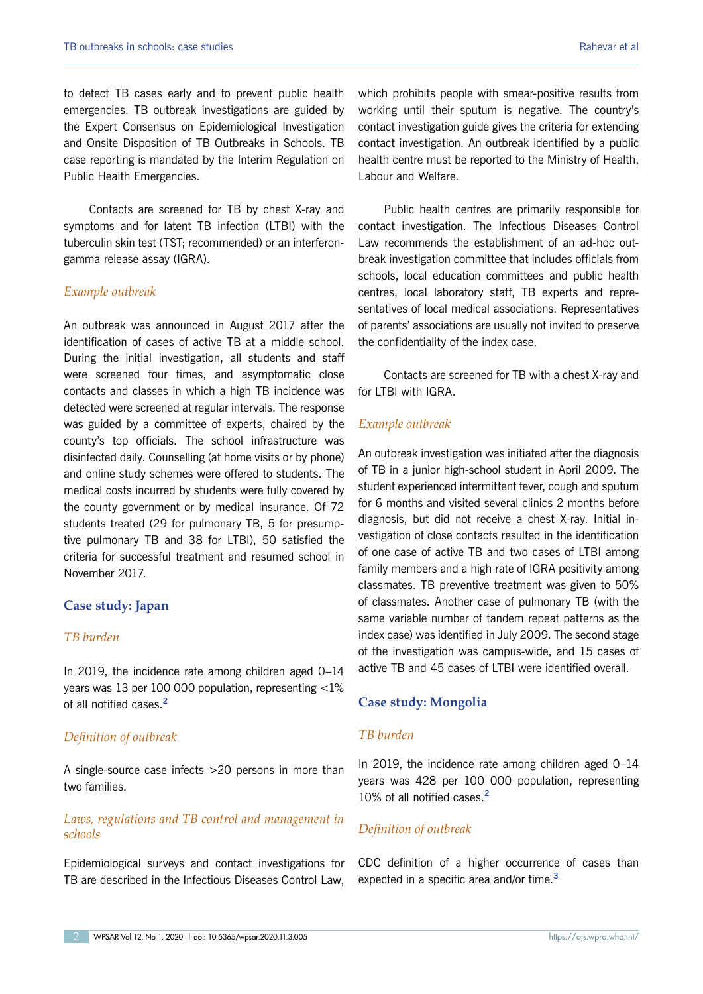to detect TB cases early and to prevent public health emergencies. TB outbreak investigations are guided by the Expert Consensus on Epidemiological Investigation and Onsite Disposition of TB Outbreaks in Schools. TB case reporting is mandated by the Interim Regulation on Public Health Emergencies.

Contacts are screened for TB by chest X-ray and symptoms and for latent TB infection (LTBI) with the tuberculin skin test (TST; recommended) or an interferongamma release assay (IGRA).

# *Example outbreak*

An outbreak was announced in August 2017 after the identification of cases of active TB at a middle school. During the initial investigation, all students and staff were screened four times, and asymptomatic close contacts and classes in which a high TB incidence was detected were screened at regular intervals. The response was guided by a committee of experts, chaired by the county's top officials. The school infrastructure was disinfected daily. Counselling (at home visits or by phone) and online study schemes were offered to students. The medical costs incurred by students were fully covered by the county government or by medical insurance. Of 72 students treated (29 for pulmonary TB, 5 for presumptive pulmonary TB and 38 for LTBI), 50 satisfied the criteria for successful treatment and resumed school in November 2017.

# **Case study: Japan**

# *TB burden*

In 2019, the incidence rate among children aged 0–14 years was 13 per 100 000 population, representing <1% of all notified cases.**<sup>2</sup>**

# *Definition of outbreak*

A single-source case infects >20 persons in more than two families.

# *Laws, regulations and TB control and management in schools*

Epidemiological surveys and contact investigations for TB are described in the Infectious Diseases Control Law,

which prohibits people with smear-positive results from working until their sputum is negative. The country's contact investigation guide gives the criteria for extending contact investigation. An outbreak identified by a public health centre must be reported to the Ministry of Health, Labour and Welfare.

Public health centres are primarily responsible for contact investigation. The Infectious Diseases Control Law recommends the establishment of an ad-hoc outbreak investigation committee that includes officials from schools, local education committees and public health centres, local laboratory staff, TB experts and representatives of local medical associations. Representatives of parents' associations are usually not invited to preserve the confidentiality of the index case.

Contacts are screened for TB with a chest X-ray and for LTBI with IGRA.

# *Example outbreak*

An outbreak investigation was initiated after the diagnosis of TB in a junior high-school student in April 2009. The student experienced intermittent fever, cough and sputum for 6 months and visited several clinics 2 months before diagnosis, but did not receive a chest X-ray. Initial investigation of close contacts resulted in the identification of one case of active TB and two cases of LTBI among family members and a high rate of IGRA positivity among classmates. TB preventive treatment was given to 50% of classmates. Another case of pulmonary TB (with the same variable number of tandem repeat patterns as the index case) was identified in July 2009. The second stage of the investigation was campus-wide, and 15 cases of active TB and 45 cases of LTBI were identified overall.

# **Case study: Mongolia**

# *TB burden*

In 2019, the incidence rate among children aged 0–14 years was 428 per 100 000 population, representing 10% of all notified cases.**<sup>2</sup>**

# *Definition of outbreak*

CDC definition of a higher occurrence of cases than expected in a specific area and/or time.**<sup>3</sup>**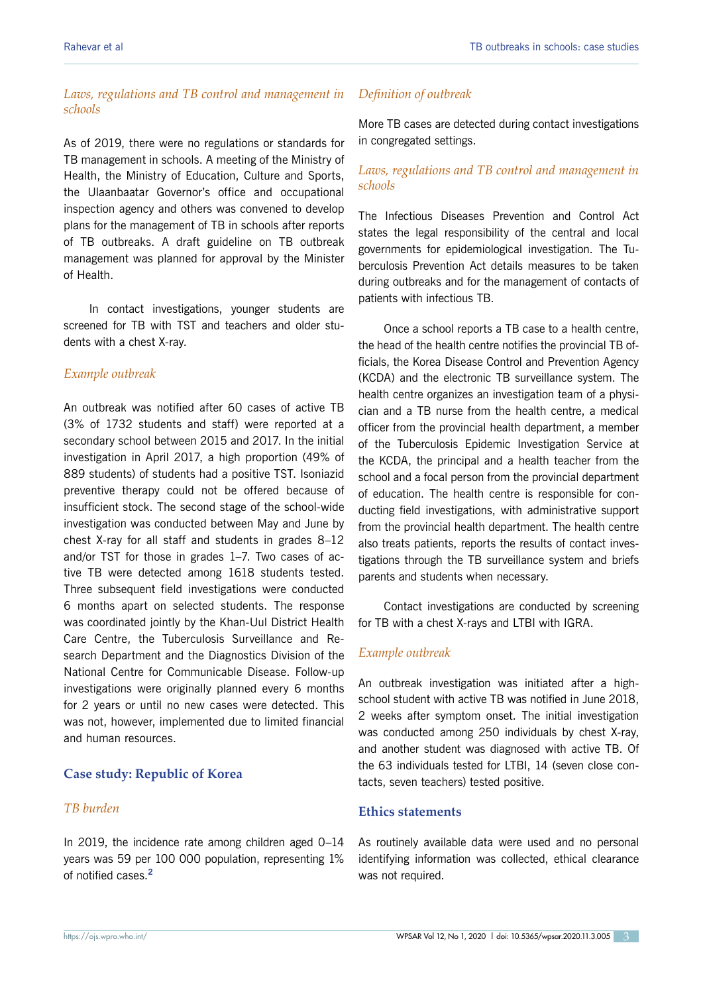## *Laws, regulations and TB control and management in schools*

As of 2019, there were no regulations or standards for TB management in schools. A meeting of the Ministry of Health, the Ministry of Education, Culture and Sports, the Ulaanbaatar Governor's office and occupational inspection agency and others was convened to develop plans for the management of TB in schools after reports of TB outbreaks. A draft guideline on TB outbreak management was planned for approval by the Minister of Health.

In contact investigations, younger students are screened for TB with TST and teachers and older students with a chest X-ray.

#### *Example outbreak*

An outbreak was notified after 60 cases of active TB (3% of 1732 students and staff) were reported at a secondary school between 2015 and 2017. In the initial investigation in April 2017, a high proportion (49% of 889 students) of students had a positive TST. Isoniazid preventive therapy could not be offered because of insufficient stock. The second stage of the school-wide investigation was conducted between May and June by chest X-ray for all staff and students in grades 8–12 and/or TST for those in grades 1–7. Two cases of active TB were detected among 1618 students tested. Three subsequent field investigations were conducted 6 months apart on selected students. The response was coordinated jointly by the Khan-Uul District Health Care Centre, the Tuberculosis Surveillance and Research Department and the Diagnostics Division of the National Centre for Communicable Disease. Follow-up investigations were originally planned every 6 months for 2 years or until no new cases were detected. This was not, however, implemented due to limited financial and human resources.

# **Case study: Republic of Korea**

# *TB burden*

In 2019, the incidence rate among children aged 0–14 years was 59 per 100 000 population, representing 1% of notified cases.**<sup>2</sup>**

#### *Definition of outbreak*

More TB cases are detected during contact investigations in congregated settings.

# *Laws, regulations and TB control and management in schools*

The Infectious Diseases Prevention and Control Act states the legal responsibility of the central and local governments for epidemiological investigation. The Tuberculosis Prevention Act details measures to be taken during outbreaks and for the management of contacts of patients with infectious TB.

Once a school reports a TB case to a health centre, the head of the health centre notifies the provincial TB officials, the Korea Disease Control and Prevention Agency (KCDA) and the electronic TB surveillance system. The health centre organizes an investigation team of a physician and a TB nurse from the health centre, a medical officer from the provincial health department, a member of the Tuberculosis Epidemic Investigation Service at the KCDA, the principal and a health teacher from the school and a focal person from the provincial department of education. The health centre is responsible for conducting field investigations, with administrative support from the provincial health department. The health centre also treats patients, reports the results of contact investigations through the TB surveillance system and briefs parents and students when necessary.

Contact investigations are conducted by screening for TB with a chest X-rays and LTBI with IGRA.

## *Example outbreak*

An outbreak investigation was initiated after a highschool student with active TB was notified in June 2018, 2 weeks after symptom onset. The initial investigation was conducted among 250 individuals by chest X-ray, and another student was diagnosed with active TB. Of the 63 individuals tested for LTBI, 14 (seven close contacts, seven teachers) tested positive.

# **Ethics statements**

As routinely available data were used and no personal identifying information was collected, ethical clearance was not required.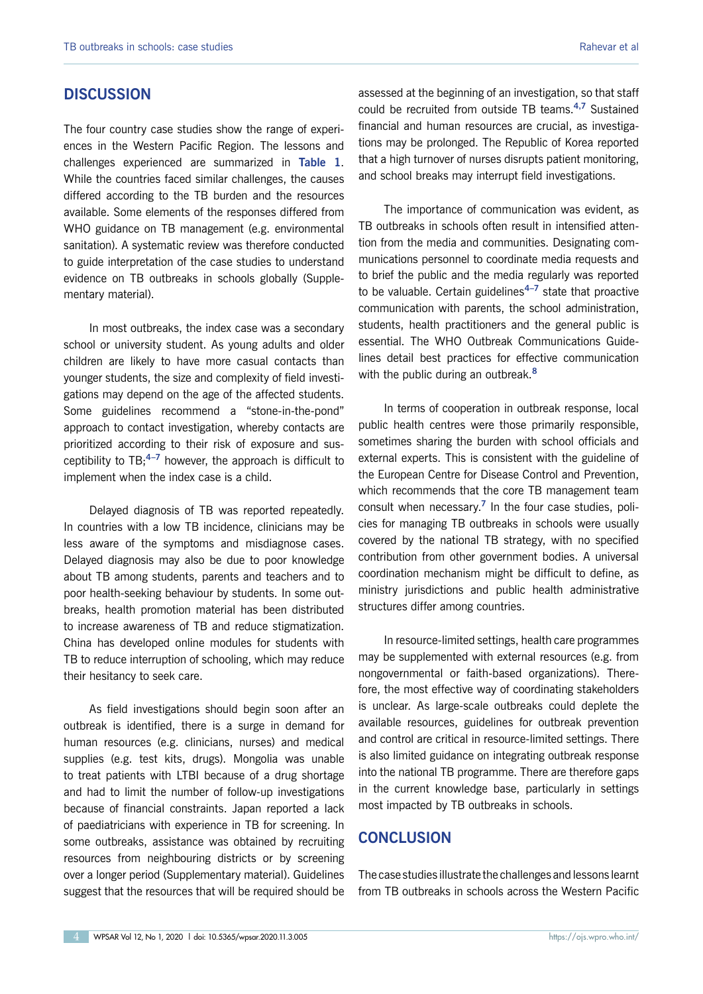# **DISCUSSION**

The four country case studies show the range of experiences in the Western Pacific Region. The lessons and challenges experienced are summarized in **Table 1**. While the countries faced similar challenges, the causes differed according to the TB burden and the resources available. Some elements of the responses differed from WHO guidance on TB management (e.g. environmental sanitation). A systematic review was therefore conducted to guide interpretation of the case studies to understand evidence on TB outbreaks in schools globally (Supplementary material).

In most outbreaks, the index case was a secondary school or university student. As young adults and older children are likely to have more casual contacts than younger students, the size and complexity of field investigations may depend on the age of the affected students. Some guidelines recommend a "stone-in-the-pond" approach to contact investigation, whereby contacts are prioritized according to their risk of exposure and susceptibility to TB;**4–7** however, the approach is difficult to implement when the index case is a child.

Delayed diagnosis of TB was reported repeatedly. In countries with a low TB incidence, clinicians may be less aware of the symptoms and misdiagnose cases. Delayed diagnosis may also be due to poor knowledge about TB among students, parents and teachers and to poor health-seeking behaviour by students. In some outbreaks, health promotion material has been distributed to increase awareness of TB and reduce stigmatization. China has developed online modules for students with TB to reduce interruption of schooling, which may reduce their hesitancy to seek care.

As field investigations should begin soon after an outbreak is identified, there is a surge in demand for human resources (e.g. clinicians, nurses) and medical supplies (e.g. test kits, drugs). Mongolia was unable to treat patients with LTBI because of a drug shortage and had to limit the number of follow-up investigations because of financial constraints. Japan reported a lack of paediatricians with experience in TB for screening. In some outbreaks, assistance was obtained by recruiting resources from neighbouring districts or by screening over a longer period (Supplementary material). Guidelines suggest that the resources that will be required should be

assessed at the beginning of an investigation, so that staff could be recruited from outside TB teams.**4,7** Sustained financial and human resources are crucial, as investigations may be prolonged. The Republic of Korea reported that a high turnover of nurses disrupts patient monitoring, and school breaks may interrupt field investigations.

The importance of communication was evident, as TB outbreaks in schools often result in intensified attention from the media and communities. Designating communications personnel to coordinate media requests and to brief the public and the media regularly was reported to be valuable. Certain guidelines**4–7** state that proactive communication with parents, the school administration, students, health practitioners and the general public is essential. The WHO Outbreak Communications Guidelines detail best practices for effective communication with the public during an outbreak.**<sup>8</sup>**

In terms of cooperation in outbreak response, local public health centres were those primarily responsible, sometimes sharing the burden with school officials and external experts. This is consistent with the guideline of the European Centre for Disease Control and Prevention, which recommends that the core TB management team consult when necessary.**<sup>7</sup>** In the four case studies, policies for managing TB outbreaks in schools were usually covered by the national TB strategy, with no specified contribution from other government bodies. A universal coordination mechanism might be difficult to define, as ministry jurisdictions and public health administrative structures differ among countries.

In resource-limited settings, health care programmes may be supplemented with external resources (e.g. from nongovernmental or faith-based organizations). Therefore, the most effective way of coordinating stakeholders is unclear. As large-scale outbreaks could deplete the available resources, guidelines for outbreak prevention and control are critical in resource-limited settings. There is also limited guidance on integrating outbreak response into the national TB programme. There are therefore gaps in the current knowledge base, particularly in settings most impacted by TB outbreaks in schools.

# **CONCLUSION**

The case studies illustrate the challenges and lessons learnt from TB outbreaks in schools across the Western Pacific